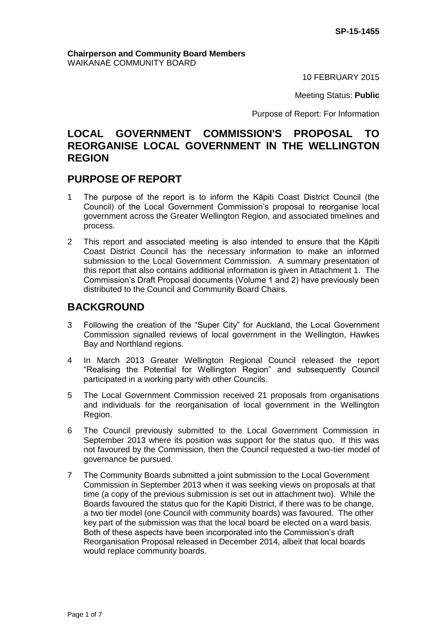10 FEBRUARY 2015

Meeting Status: **Public**

Purpose of Report: For Information

# **LOCAL GOVERNMENT COMMISSION'S PROPOSAL TO REORGANISE LOCAL GOVERNMENT IN THE WELLINGTON REGION**

# **PURPOSE OF REPORT**

- 1 The purpose of the report is to inform the Kāpiti Coast District Council (the Council) of the Local Government Commission's proposal to reorganise local government across the Greater Wellington Region, and associated timelines and process.
- 2 This report and associated meeting is also intended to ensure that the Kāpiti Coast District Council has the necessary information to make an informed submission to the Local Government Commission. A summary presentation of this report that also contains additional information is given in Attachment 1. The Commission's Draft Proposal documents (Volume 1 and 2) have previously been distributed to the Council and Community Board Chairs.

# **BACKGROUND**

- 3 Following the creation of the "Super City" for Auckland, the Local Government Commission signalled reviews of local government in the Wellington, Hawkes Bay and Northland regions.
- 4 In March 2013 Greater Wellington Regional Council released the report "Realising the Potential for Wellington Region" and subsequently Council participated in a working party with other Councils.
- 5 The Local Government Commission received 21 proposals from organisations and individuals for the reorganisation of local government in the Wellington Region.
- 6 The Council previously submitted to the Local Government Commission in September 2013 where its position was support for the status quo. If this was not favoured by the Commission, then the Council requested a two-tier model of governance be pursued.
- 7 The Community Boards submitted a joint submission to the Local Government Commission in September 2013 when it was seeking views on proposals at that time (a copy of the previous submission is set out in attachment two). While the Boards favoured the status quo for the Kapiti District, if there was to be change, a two tier model (one Council with community boards) was favoured. The other key part of the submission was that the local board be elected on a ward basis. Both of these aspects have been incorporated into the Commission's draft Reorganisation Proposal released in December 2014, albeit that local boards would replace community boards.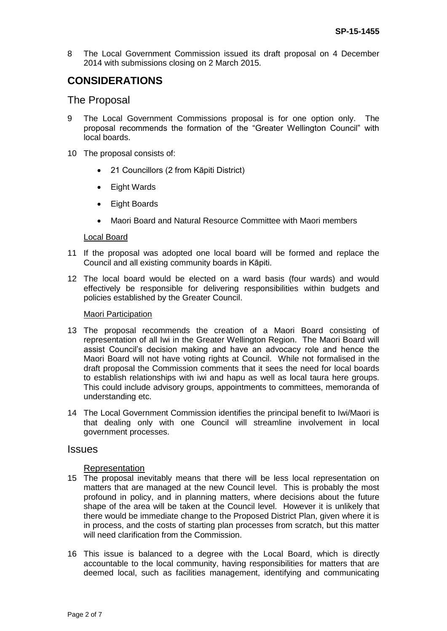8 The Local Government Commission issued its draft proposal on 4 December 2014 with submissions closing on 2 March 2015.

# **CONSIDERATIONS**

## The Proposal

- 9 The Local Government Commissions proposal is for one option only. The proposal recommends the formation of the "Greater Wellington Council" with local boards.
- 10 The proposal consists of:
	- 21 Councillors (2 from Kāpiti District)
	- Eight Wards
	- Eight Boards
	- Maori Board and Natural Resource Committee with Maori members

### Local Board

- 11 If the proposal was adopted one local board will be formed and replace the Council and all existing community boards in Kāpiti.
- 12 The local board would be elected on a ward basis (four wards) and would effectively be responsible for delivering responsibilities within budgets and policies established by the Greater Council.

#### Maori Participation

- 13 The proposal recommends the creation of a Maori Board consisting of representation of all Iwi in the Greater Wellington Region. The Maori Board will assist Council's decision making and have an advocacy role and hence the Maori Board will not have voting rights at Council. While not formalised in the draft proposal the Commission comments that it sees the need for local boards to establish relationships with iwi and hapu as well as local taura here groups. This could include advisory groups, appointments to committees, memoranda of understanding etc.
- 14 The Local Government Commission identifies the principal benefit to Iwi/Maori is that dealing only with one Council will streamline involvement in local government processes.

### **Issues**

### Representation

- 15 The proposal inevitably means that there will be less local representation on matters that are managed at the new Council level. This is probably the most profound in policy, and in planning matters, where decisions about the future shape of the area will be taken at the Council level. However it is unlikely that there would be immediate change to the Proposed District Plan, given where it is in process, and the costs of starting plan processes from scratch, but this matter will need clarification from the Commission.
- 16 This issue is balanced to a degree with the Local Board, which is directly accountable to the local community, having responsibilities for matters that are deemed local, such as facilities management, identifying and communicating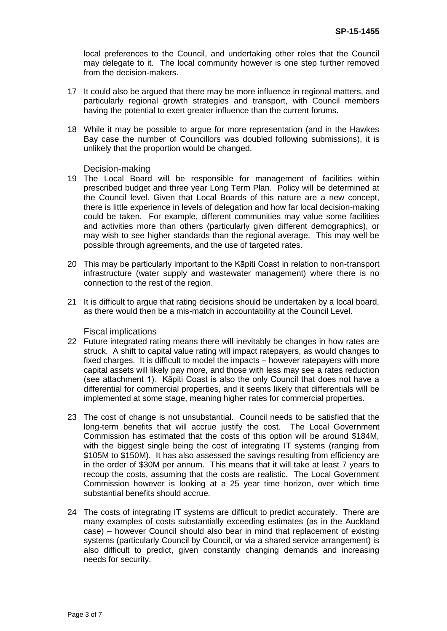local preferences to the Council, and undertaking other roles that the Council may delegate to it. The local community however is one step further removed from the decision-makers.

- 17 It could also be argued that there may be more influence in regional matters, and particularly regional growth strategies and transport, with Council members having the potential to exert greater influence than the current forums.
- 18 While it may be possible to argue for more representation (and in the Hawkes Bay case the number of Councillors was doubled following submissions), it is unlikely that the proportion would be changed.

### Decision-making

- 19 The Local Board will be responsible for management of facilities within prescribed budget and three year Long Term Plan. Policy will be determined at the Council level. Given that Local Boards of this nature are a new concept, there is little experience in levels of delegation and how far local decision-making could be taken. For example, different communities may value some facilities and activities more than others (particularly given different demographics), or may wish to see higher standards than the regional average. This may well be possible through agreements, and the use of targeted rates.
- 20 This may be particularly important to the Kāpiti Coast in relation to non-transport infrastructure (water supply and wastewater management) where there is no connection to the rest of the region.
- 21 It is difficult to argue that rating decisions should be undertaken by a local board, as there would then be a mis-match in accountability at the Council Level.

### Fiscal implications

- 22 Future integrated rating means there will inevitably be changes in how rates are struck. A shift to capital value rating will impact ratepayers, as would changes to fixed charges. It is difficult to model the impacts – however ratepayers with more capital assets will likely pay more, and those with less may see a rates reduction (see attachment 1). Kāpiti Coast is also the only Council that does not have a differential for commercial properties, and it seems likely that differentials will be implemented at some stage, meaning higher rates for commercial properties.
- 23 The cost of change is not unsubstantial. Council needs to be satisfied that the long-term benefits that will accrue justify the cost. The Local Government Commission has estimated that the costs of this option will be around \$184M, with the biggest single being the cost of integrating IT systems (ranging from \$105M to \$150M). It has also assessed the savings resulting from efficiency are in the order of \$30M per annum. This means that it will take at least 7 years to recoup the costs, assuming that the costs are realistic. The Local Government Commission however is looking at a 25 year time horizon, over which time substantial benefits should accrue.
- 24 The costs of integrating IT systems are difficult to predict accurately. There are many examples of costs substantially exceeding estimates (as in the Auckland case) – however Council should also bear in mind that replacement of existing systems (particularly Council by Council, or via a shared service arrangement) is also difficult to predict, given constantly changing demands and increasing needs for security.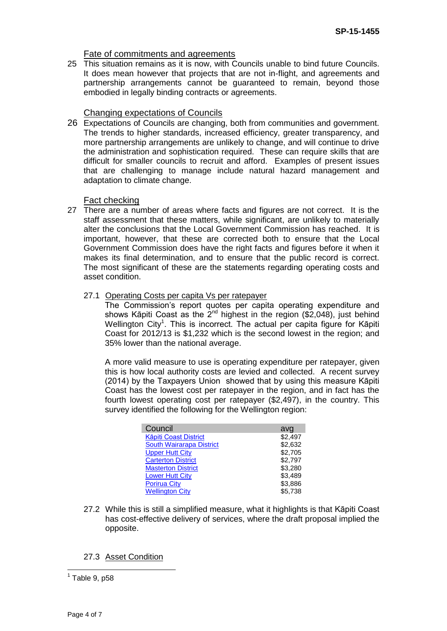## Fate of commitments and agreements

25 This situation remains as it is now, with Councils unable to bind future Councils. It does mean however that projects that are not in-flight, and agreements and partnership arrangements cannot be guaranteed to remain, beyond those embodied in legally binding contracts or agreements.

# Changing expectations of Councils

26 Expectations of Councils are changing, both from communities and government. The trends to higher standards, increased efficiency, greater transparency, and more partnership arrangements are unlikely to change, and will continue to drive the administration and sophistication required. These can require skills that are difficult for smaller councils to recruit and afford. Examples of present issues that are challenging to manage include natural hazard management and adaptation to climate change.

### Fact checking

- 27 There are a number of areas where facts and figures are not correct. It is the staff assessment that these matters, while significant, are unlikely to materially alter the conclusions that the Local Government Commission has reached. It is important, however, that these are corrected both to ensure that the Local Government Commission does have the right facts and figures before it when it makes its final determination, and to ensure that the public record is correct. The most significant of these are the statements regarding operating costs and asset condition.
	- 27.1 Operating Costs per capita Vs per ratepayer

The Commission's report quotes per capita operating expenditure and shows Kāpiti Coast as the  $2^{nd}$  highest in the region (\$2,048), just behind Wellington City<sup>1</sup>. This is incorrect. The actual per capita figure for Kāpiti Coast for 2012/13 is \$1,232 which is the second lowest in the region; and 35% lower than the national average.

A more valid measure to use is operating expenditure per ratepayer, given this is how local authority costs are levied and collected. A recent survey (2014) by the Taxpayers Union showed that by using this measure Kāpiti Coast has the lowest cost per ratepayer in the region, and in fact has the fourth lowest operating cost per ratepayer (\$2,497), in the country. This survey identified the following for the Wellington region:

| Council                         | avg     |
|---------------------------------|---------|
| <b>Käpiti Coast District</b>    | \$2,497 |
| <b>South Wairarapa District</b> | \$2,632 |
| <b>Upper Hutt City</b>          | \$2,705 |
| <b>Carterton District</b>       | \$2,797 |
| <b>Masterton District</b>       | \$3,280 |
| <b>Lower Hutt City</b>          | \$3,489 |
| <b>Porirua City</b>             | \$3,886 |
| <b>Wellington City</b>          | \$5.738 |

27.2 While this is still a simplified measure, what it highlights is that Kāpiti Coast has cost-effective delivery of services, where the draft proposal implied the opposite.

## 27.3 Asset Condition

 1 Table 9, p58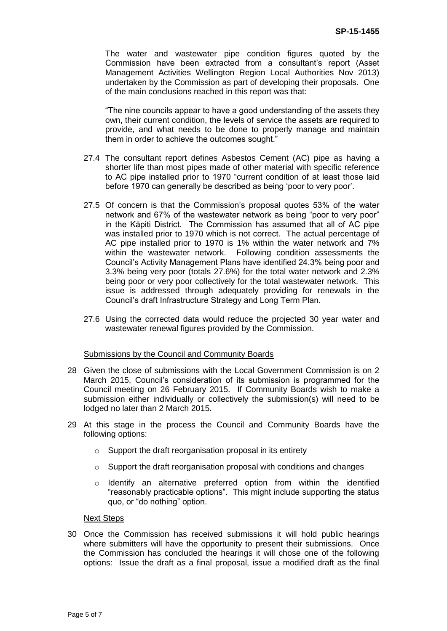The water and wastewater pipe condition figures quoted by the Commission have been extracted from a consultant's report (Asset Management Activities Wellington Region Local Authorities Nov 2013) undertaken by the Commission as part of developing their proposals. One of the main conclusions reached in this report was that:

"The nine councils appear to have a good understanding of the assets they own, their current condition, the levels of service the assets are required to provide, and what needs to be done to properly manage and maintain them in order to achieve the outcomes sought."

- 27.4 The consultant report defines Asbestos Cement (AC) pipe as having a shorter life than most pipes made of other material with specific reference to AC pipe installed prior to 1970 "current condition of at least those laid before 1970 can generally be described as being 'poor to very poor'.
- 27.5 Of concern is that the Commission's proposal quotes 53% of the water network and 67% of the wastewater network as being "poor to very poor" in the Kāpiti District. The Commission has assumed that all of AC pipe was installed prior to 1970 which is not correct. The actual percentage of AC pipe installed prior to 1970 is 1% within the water network and 7% within the wastewater network. Following condition assessments the Council's Activity Management Plans have identified 24.3% being poor and 3.3% being very poor (totals 27.6%) for the total water network and 2.3% being poor or very poor collectively for the total wastewater network. This issue is addressed through adequately providing for renewals in the Council's draft Infrastructure Strategy and Long Term Plan.
- 27.6 Using the corrected data would reduce the projected 30 year water and wastewater renewal figures provided by the Commission.

### Submissions by the Council and Community Boards

- 28 Given the close of submissions with the Local Government Commission is on 2 March 2015, Council's consideration of its submission is programmed for the Council meeting on 26 February 2015. If Community Boards wish to make a submission either individually or collectively the submission(s) will need to be lodged no later than 2 March 2015.
- 29 At this stage in the process the Council and Community Boards have the following options:
	- o Support the draft reorganisation proposal in its entirety
	- $\circ$  Support the draft reorganisation proposal with conditions and changes
	- $\circ$  Identify an alternative preferred option from within the identified "reasonably practicable options". This might include supporting the status quo, or "do nothing" option.

#### Next Steps

30 Once the Commission has received submissions it will hold public hearings where submitters will have the opportunity to present their submissions. Once the Commission has concluded the hearings it will chose one of the following options: Issue the draft as a final proposal, issue a modified draft as the final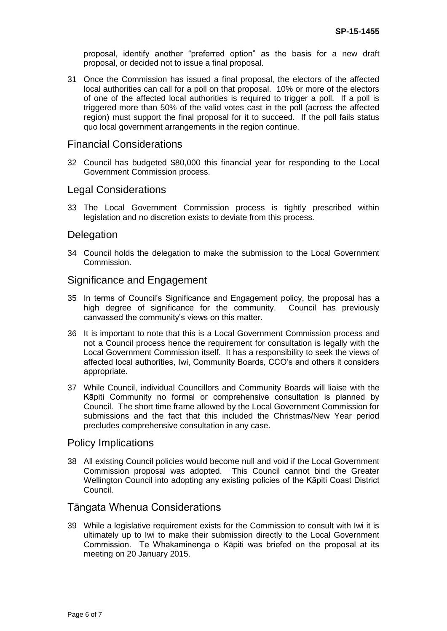proposal, identify another "preferred option" as the basis for a new draft proposal, or decided not to issue a final proposal.

31 Once the Commission has issued a final proposal, the electors of the affected local authorities can call for a poll on that proposal. 10% or more of the electors of one of the affected local authorities is required to trigger a poll. If a poll is triggered more than 50% of the valid votes cast in the poll (across the affected region) must support the final proposal for it to succeed. If the poll fails status quo local government arrangements in the region continue.

## Financial Considerations

32 Council has budgeted \$80,000 this financial year for responding to the Local Government Commission process.

## Legal Considerations

33 The Local Government Commission process is tightly prescribed within legislation and no discretion exists to deviate from this process.

## **Delegation**

34 Council holds the delegation to make the submission to the Local Government Commission.

## Significance and Engagement

- 35 In terms of Council's Significance and Engagement policy, the proposal has a high degree of significance for the community. Council has previously canvassed the community's views on this matter.
- 36 It is important to note that this is a Local Government Commission process and not a Council process hence the requirement for consultation is legally with the Local Government Commission itself. It has a responsibility to seek the views of affected local authorities, Iwi, Community Boards, CCO's and others it considers appropriate.
- 37 While Council, individual Councillors and Community Boards will liaise with the Kāpiti Community no formal or comprehensive consultation is planned by Council. The short time frame allowed by the Local Government Commission for submissions and the fact that this included the Christmas/New Year period precludes comprehensive consultation in any case.

## Policy Implications

38 All existing Council policies would become null and void if the Local Government Commission proposal was adopted. This Council cannot bind the Greater Wellington Council into adopting any existing policies of the Kāpiti Coast District Council.

## Tāngata Whenua Considerations

39 While a legislative requirement exists for the Commission to consult with Iwi it is ultimately up to Iwi to make their submission directly to the Local Government Commission. Te Whakaminenga o Kāpiti was briefed on the proposal at its meeting on 20 January 2015.